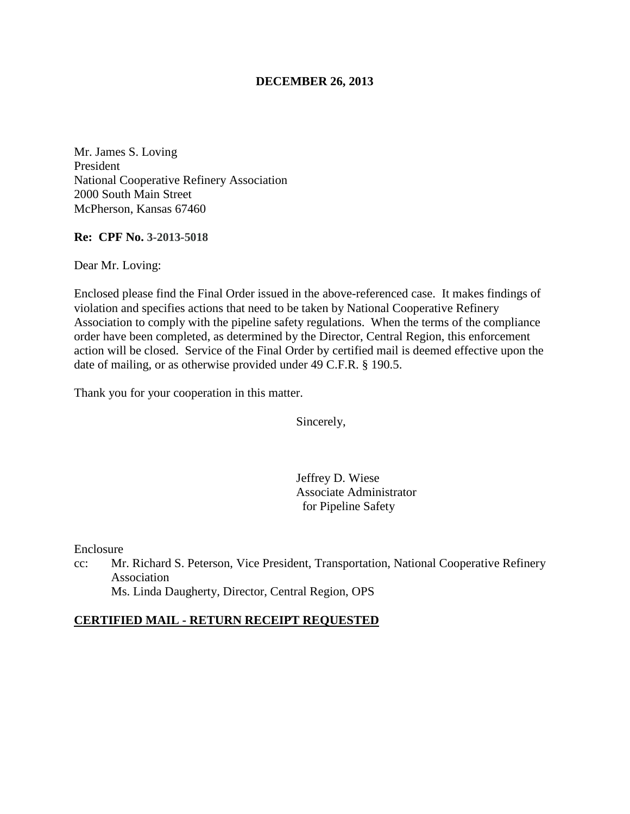### **DECEMBER 26, 2013**

Mr. James S. Loving President National Cooperative Refinery Association 2000 South Main Street McPherson, Kansas 67460

**Re: CPF No. 3-2013-5018**

Dear Mr. Loving:

Enclosed please find the Final Order issued in the above-referenced case. It makes findings of violation and specifies actions that need to be taken by National Cooperative Refinery Association to comply with the pipeline safety regulations. When the terms of the compliance order have been completed, as determined by the Director, Central Region, this enforcement action will be closed. Service of the Final Order by certified mail is deemed effective upon the date of mailing, or as otherwise provided under 49 C.F.R. § 190.5.

Thank you for your cooperation in this matter.

Sincerely,

Jeffrey D. Wiese Associate Administrator for Pipeline Safety

Enclosure

cc: Mr. Richard S. Peterson, Vice President, Transportation, National Cooperative Refinery Association Ms. Linda Daugherty, Director, Central Region, OPS

#### **CERTIFIED MAIL - RETURN RECEIPT REQUESTED**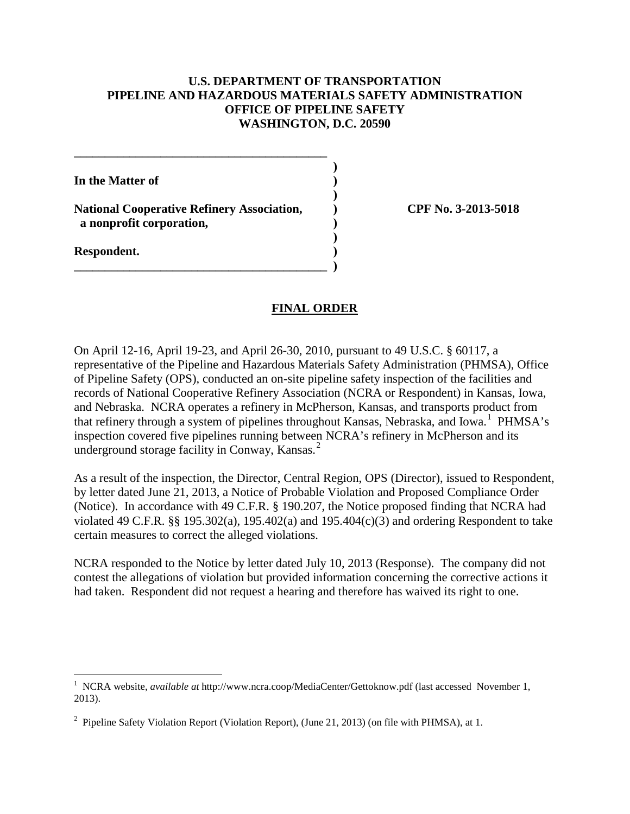### **U.S. DEPARTMENT OF TRANSPORTATION PIPELINE AND HAZARDOUS MATERIALS SAFETY ADMINISTRATION OFFICE OF PIPELINE SAFETY WASHINGTON, D.C. 20590**

**In the Matter of )** 

**National Cooperative Refinery Association, ) CPF No. 3-2013-5018 a nonprofit corporation, )** 

**\_\_\_\_\_\_\_\_\_\_\_\_\_\_\_\_\_\_\_\_\_\_\_\_\_\_\_\_\_\_\_\_\_\_\_\_\_\_\_\_\_ )** 

 **)** 

 **)** 

**\_\_\_\_\_\_\_\_\_\_\_\_\_\_\_\_\_\_\_\_\_\_\_\_\_\_\_\_\_\_\_\_\_\_\_\_\_\_\_\_\_ )** 

**Respondent. )** 

#### **FINAL ORDER**

On April 12-16, April 19-23, and April 26-30, 2010, pursuant to 49 U.S.C. § 60117, a representative of the Pipeline and Hazardous Materials Safety Administration (PHMSA), Office of Pipeline Safety (OPS), conducted an on-site pipeline safety inspection of the facilities and records of National Cooperative Refinery Association (NCRA or Respondent) in Kansas, Iowa, and Nebraska. NCRA operates a refinery in McPherson, Kansas, and transports product from that refinery through a system of pipelines throughout Kansas, Nebraska, and Iowa.<sup>1</sup> PHMSA's inspection covered five pipelines running between NCRA's refinery in McPherson and its underground storage facility in Conway, Kansas.<sup>2</sup>

As a result of the inspection, the Director, Central Region, OPS (Director), issued to Respondent, by letter dated June 21, 2013, a Notice of Probable Violation and Proposed Compliance Order (Notice). In accordance with 49 C.F.R. § 190.207, the Notice proposed finding that NCRA had violated 49 C.F.R. §§ 195.302(a), 195.402(a) and 195.404(c)(3) and ordering Respondent to take certain measures to correct the alleged violations.

NCRA responded to the Notice by letter dated July 10, 2013 (Response). The company did not contest the allegations of violation but provided information concerning the corrective actions it had taken. Respondent did not request a hearing and therefore has waived its right to one.

 1 NCRA website, *available at* http://www.ncra.coop/MediaCenter/Gettoknow.pdf (last accessed November 1, 2013).

<sup>&</sup>lt;sup>2</sup> Pipeline Safety Violation Report (Violation Report), (June 21, 2013) (on file with PHMSA), at 1.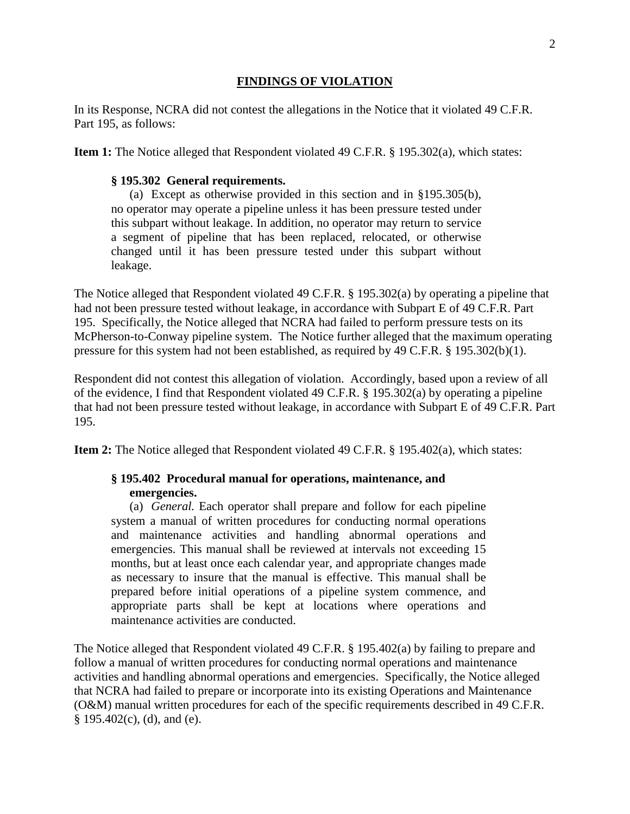#### **FINDINGS OF VIOLATION**

In its Response, NCRA did not contest the allegations in the Notice that it violated 49 C.F.R. Part 195, as follows:

**Item 1:** The Notice alleged that Respondent violated 49 C.F.R. § 195.302(a), which states:

#### **§ 195.302 General requirements.**

(a) Except as otherwise provided in this section and in §195.305(b), no operator may operate a pipeline unless it has been pressure tested under this subpart without leakage. In addition, no operator may return to service a segment of pipeline that has been replaced, relocated, or otherwise changed until it has been pressure tested under this subpart without leakage.

The Notice alleged that Respondent violated 49 C.F.R. § 195.302(a) by operating a pipeline that had not been pressure tested without leakage, in accordance with Subpart E of 49 C.F.R. Part 195. Specifically, the Notice alleged that NCRA had failed to perform pressure tests on its McPherson-to-Conway pipeline system. The Notice further alleged that the maximum operating pressure for this system had not been established, as required by 49 C.F.R. § 195.302(b)(1).

Respondent did not contest this allegation of violation. Accordingly, based upon a review of all of the evidence, I find that Respondent violated 49 C.F.R. § 195.302(a) by operating a pipeline that had not been pressure tested without leakage, in accordance with Subpart E of 49 C.F.R. Part 195.

**Item 2:** The Notice alleged that Respondent violated 49 C.F.R. § 195.402(a), which states:

## **§ 195.402 Procedural manual for operations, maintenance, and emergencies.**

(a) *General.* Each operator shall prepare and follow for each pipeline system a manual of written procedures for conducting normal operations and maintenance activities and handling abnormal operations and emergencies. This manual shall be reviewed at intervals not exceeding 15 months, but at least once each calendar year, and appropriate changes made as necessary to insure that the manual is effective. This manual shall be prepared before initial operations of a pipeline system commence, and appropriate parts shall be kept at locations where operations and maintenance activities are conducted.

The Notice alleged that Respondent violated 49 C.F.R. § 195.402(a) by failing to prepare and follow a manual of written procedures for conducting normal operations and maintenance activities and handling abnormal operations and emergencies. Specifically, the Notice alleged that NCRA had failed to prepare or incorporate into its existing Operations and Maintenance (O&M) manual written procedures for each of the specific requirements described in 49 C.F.R.  $§$  195.402(c), (d), and (e).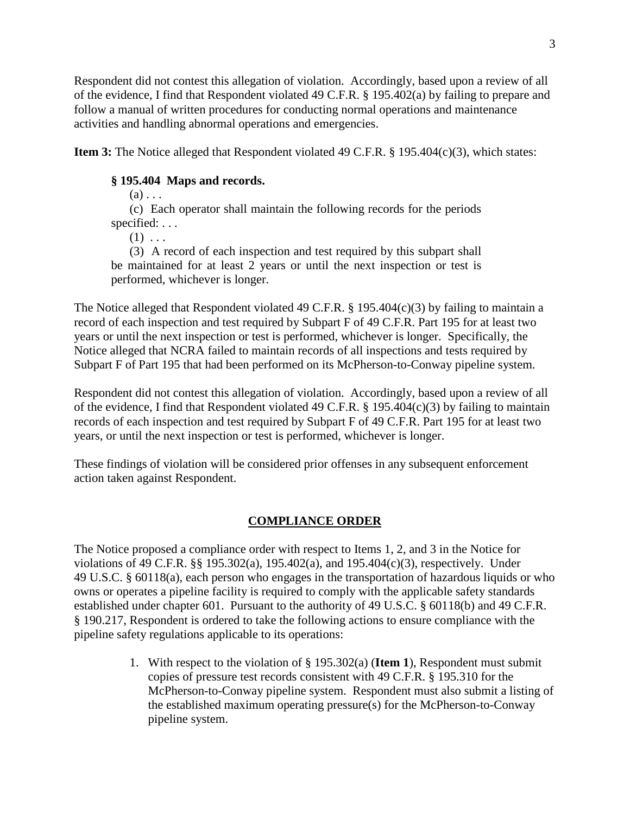Respondent did not contest this allegation of violation. Accordingly, based upon a review of all of the evidence, I find that Respondent violated 49 C.F.R. § 195.402(a) by failing to prepare and follow a manual of written procedures for conducting normal operations and maintenance activities and handling abnormal operations and emergencies.

**Item 3:** The Notice alleged that Respondent violated 49 C.F.R. § 195.404(c)(3), which states:

## **§ 195.404 Maps and records.**

 $(a)$ ...

(c) Each operator shall maintain the following records for the periods specified: . . .

 $(1) \ldots$ 

(3) A record of each inspection and test required by this subpart shall be maintained for at least 2 years or until the next inspection or test is performed, whichever is longer.

The Notice alleged that Respondent violated 49 C.F.R. § 195.404(c)(3) by failing to maintain a record of each inspection and test required by Subpart F of 49 C.F.R. Part 195 for at least two years or until the next inspection or test is performed, whichever is longer. Specifically, the Notice alleged that NCRA failed to maintain records of all inspections and tests required by Subpart F of Part 195 that had been performed on its McPherson-to-Conway pipeline system.

Respondent did not contest this allegation of violation. Accordingly, based upon a review of all of the evidence, I find that Respondent violated 49 C.F.R. § 195.404(c)(3) by failing to maintain records of each inspection and test required by Subpart F of 49 C.F.R. Part 195 for at least two years, or until the next inspection or test is performed, whichever is longer.

These findings of violation will be considered prior offenses in any subsequent enforcement action taken against Respondent.

# **COMPLIANCE ORDER**

The Notice proposed a compliance order with respect to Items 1, 2, and 3 in the Notice for violations of 49 C.F.R. §§ 195.302(a), 195.402(a), and 195.404(c)(3), respectively. Under 49 U.S.C. § 60118(a), each person who engages in the transportation of hazardous liquids or who owns or operates a pipeline facility is required to comply with the applicable safety standards established under chapter 601. Pursuant to the authority of 49 U.S.C. § 60118(b) and 49 C.F.R. § 190.217, Respondent is ordered to take the following actions to ensure compliance with the pipeline safety regulations applicable to its operations:

> 1. With respect to the violation of § 195.302(a) (**Item 1**), Respondent must submit copies of pressure test records consistent with 49 C.F.R. § 195.310 for the McPherson-to-Conway pipeline system. Respondent must also submit a listing of the established maximum operating pressure(s) for the McPherson-to-Conway pipeline system.